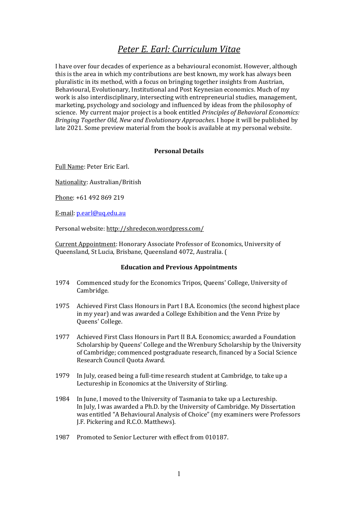# *Peter E. Earl: Curriculum Vitae*

I have over four decades of experience as a behavioural economist. However, although this is the area in which my contributions are best known, my work has always been pluralistic in its method, with a focus on bringing together insights from Austrian, Behavioural, Evolutionary, Institutional and Post Keynesian economics. Much of my work is also interdisciplinary, intersecting with entrepreneurial studies, management, marketing, psychology and sociology and influenced by ideas from the philosophy of science. My current major project is a book entitled *Principles of Behavioral Economics: Bringing Together Old, New and Evolutionary Approaches*. I hope it will be published by late 2021. Some preview material from the book is available at my personal website.

#### **Personal Details**

Full Name: Peter Eric Earl.

Nationality: Australian/British

Phone: +61 492 869 219

E-mail: [p.earl@uq.edu.au](mailto:p.earl@uq.edu.au)

Personal website:<http://shredecon.wordpress.com/>

Current Appointment: Honorary Associate Professor of Economics, University of Queensland, St Lucia, Brisbane, Queensland 4072, Australia. (

#### **Education and Previous Appointments**

- 1974 Commenced study for the Economics Tripos, Queens' College, University of Cambridge.
- 1975 Achieved First Class Honours in Part I B.A. Economics (the second highest place in my year) and was awarded a College Exhibition and the Venn Prize by Queens' College.
- 1977 Achieved First Class Honours in Part II B.A. Economics; awarded a Foundation Scholarship by Queens' College and the Wrenbury Scholarship by the University of Cambridge; commenced postgraduate research, financed by a Social Science Research Council Quota Award.
- 1979 In July, ceased being a full-time research student at Cambridge, to take up a Lectureship in Economics at the University of Stirling.
- 1984 In June, I moved to the University of Tasmania to take up a Lectureship. In July, I was awarded a Ph.D. by the University of Cambridge. My Dissertation was entitled "A Behavioural Analysis of Choice" (my examiners were Professors J.F. Pickering and R.C.O. Matthews).
- 1987 Promoted to Senior Lecturer with effect from 010187.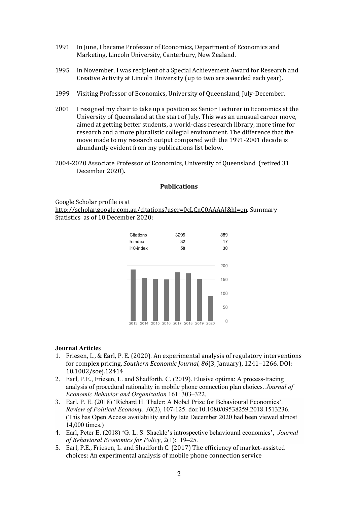- 1991 In June, I became Professor of Economics, Department of Economics and Marketing, Lincoln University, Canterbury, New Zealand.
- 1995 In November, I was recipient of a Special Achievement Award for Research and Creative Activity at Lincoln University (up to two are awarded each year).
- 1999 Visiting Professor of Economics, University of Queensland, July-December.
- 2001 I resigned my chair to take up a position as Senior Lecturer in Economics at the University of Queensland at the start of July. This was an unusual career move, aimed at getting better students, a world-class research library, more time for research and a more pluralistic collegial environment. The difference that the move made to my research output compared with the 1991-2001 decade is abundantly evident from my publications list below.
- 2004-2020 Associate Professor of Economics, University of Queensland (retired 31 December 2020).

#### **Publications**

Google Scholar profile is at [http://scholar.google.com.au/citations?user=0cLCnC0AAAAJ&hl=en.](http://scholar.google.com.au/citations?user=0cLCnC0AAAAJ&hl=en) Summary Statistics as of 10 December 2020:



#### **Journal Articles**

- 1. Friesen, L., & Earl, P. E. (2020). An experimental analysis of regulatory interventions for complex pricing. *Southern Economic Journal, 86*(3, January), 1241–1266. DOI: 10.1002/soej.12414
- 2. Earl, P.E., Friesen, L. and Shadforth, C. (2019). Elusive optima: A process-tracing analysis of procedural rationality in mobile phone connection plan choices. *Journal of Economic Behavior and Organization* 161: 303–322.
- 3. Earl, P. E. (2018) 'Richard H. Thaler: A Nobel Prize for Behavioural Economics'. *Review of Political Economy, 30*(2), 107-125. doi:10.1080/09538259.2018.1513236. (This has Open Access availability and by late December 2020 had been viewed almost 14,000 times.)
- 4. Earl, Peter E. (2018) 'G. L. S. Shackle's introspective behavioural economics', *Journal of Behavioral Economics for Policy*, 2(1): 19–25.
- 5. Earl, P.E., Friesen, L. and Shadforth C. (2017) The efficiency of market-assisted choices: An experimental analysis of mobile phone connection service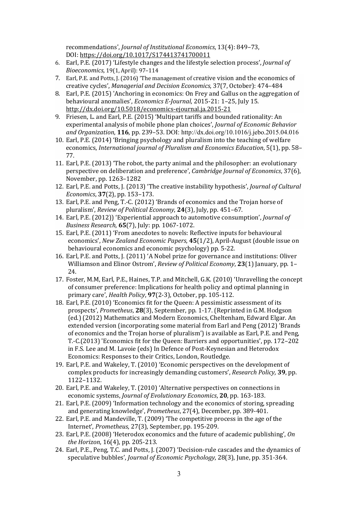recommendations', *Journal of Institutional Economics*, 13(4): 849–73, DOI: [https://doi.org/10.1017/S174413741700011](https://doi.org/10.1017/S174413741700011X)

- 6. Earl, P.E. (2017) 'Lifestyle changes and the lifestyle selection process', *Journal of Bioeconomics*, 19(1, April): 97–114
- 7. Earl, P.E. and Potts, J. (2016) 'The management of creative vision and the economics of creative cycles', *Managerial and Decision Economics*, 37(7, October): 474–484
- 8. Earl, P.E. (2015) 'Anchoring in economics: On Frey and Gallus on the aggregation of behavioural anomalies', *Economics E-Journal*, 2015-21: 1–25, July 15. <http://dx.doi.org/10.5018/economics-ejournal.ja.2015-21>
- 9. Friesen, L. and Earl, P.E. (2015) 'Multipart tariffs and bounded rationality: An experimental analysis of mobile phone plan choices', *Journal of Economic Behavior and Organization*, **116**, pp. 239–53. DOI: http://dx.doi.org/10.1016/j.jebo.2015.04.016
- 10. Earl, P.E. (2014) 'Bringing psychology and pluralism into the teaching of welfare economics, *International journal of Pluralism and Economics Education*, 5(1), pp. 58– 77.
- 11. Earl, P.E. (2013) 'The robot, the party animal and the philosopher: an evolutionary perspective on deliberation and preference', *Cambridge Journal of Economics*, 37(6), November, pp. 1263–1282
- 12. Earl, P.E. and Potts, J. (2013) 'The creative instability hypothesis', *Journal of Cultural Economics*, **37**(2), pp. 153–173.
- 13. Earl, P.E. and Peng, T.-C. (2012) 'Brands of economics and the Trojan horse of pluralism', *Review of Political Economy*, **24**(3), July, pp. 451–67.
- 14. Earl, P.E. (2012)) 'Experiential approach to automotive consumption', *Journal of Business Research*, **65**(7), July: pp. 1067-1072.
- 15. Earl, P.E. (2011) 'From anecdotes to novels: Reflective inputs for behavioural economics', *New Zealand Economic Papers*, **45**(1/2), April-August (double issue on behavioural economics and economic psychology) pp. 5-22*.*
- 16. Earl, P.E. and Potts, J. (2011) 'A Nobel prize for governance and institutions: Oliver Williamson and Elinor Ostrom', *Review of Political Economy*, **23**(1) January, pp. 1– 24.
- 17. Foster, M.M, Earl, P.E., Haines, T.P. and Mitchell, G.K. (2010) 'Unravelling the concept of consumer preference: Implications for health policy and optimal planning in primary care', *Health Policy*, **97**(2-3), October, pp. 105-112.
- 18. Earl, P.E. (2010) 'Economics fit for the Queen: A pessimistic assessment of its prospects', *Prometheus*, **28**(3), September, pp. 1-17. (Reprinted in G.M. Hodgson (ed.) (2012) Mathematics and Modern Economics, Cheltenham, Edward Elgar. An extended version (incorporating some material from Earl and Peng (2012) 'Brands of economics and the Trojan horse of pluralism') is available as Earl, P.E. and Peng, T.-C.(2013) 'Economics fit for the Queen: Barriers and opportunities', pp. 172–202 in F.S. Lee and M. Lavoie (eds) In Defence of Post-Keynesian and Heterodox Economics: Responses to their Critics, London, Routledge.
- 19. Earl, P.E. and Wakeley, T. (2010) 'Economic perspectives on the development of complex products for increasingly demanding customers', *Research Policy,* **39**, pp. 1122–1132.
- 20. Earl, P.E. and Wakeley, T. (2010) 'Alternative perspectives on connections in economic systems, *Journal of Evolutionary Economics*, **20**, pp. 163-183.
- 21. Earl, P.E. (2009) 'Information technology and the economics of storing, spreading and generating knowledge', *Prometheus*, 27(4), December, pp. 389-401.
- 22. Earl, P.E. and Mandeville, T. (2009) 'The competitive process in the age of the Internet', *Prometheus*, 27(3), September, pp. 195-209.
- 23. Earl, P.E. (2008) 'Heterodox economics and the future of academic publishing', *On the Horizon*, 16(4), pp. 205-213.
- 24. Earl, P.E., Peng, T.C. and Potts, J. (2007) 'Decision-rule cascades and the dynamics of speculative bubbles', *Journal of Economic Psychology*, 28(3), June, pp. 351-364.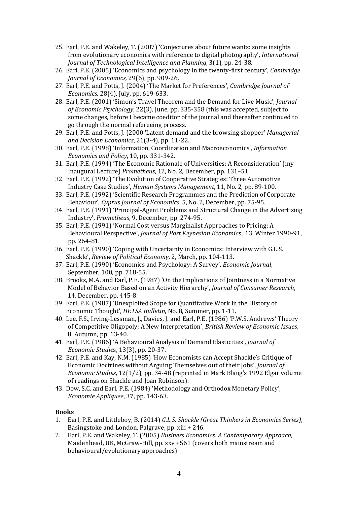- 25. Earl, P.E. and Wakeley, T. (2007) 'Conjectures about future wants: some insights from evolutionary economics with reference to digital photography', *International Journal of Technological Intelligence and Planning*, 3(1), pp. 24-38.
- 26. Earl, P.E. (2005) 'Economics and psychology in the twenty-first century', *Cambridge Journal of Economics,* 29(6), pp. 909-26.
- 27. Earl, P.E. and Potts, J. (2004) 'The Market for Preferences', *Cambridge Journal of Economics*, 28(4), July, pp. 619-633.
- 28. Earl, P.E. (2001) 'Simon's Travel Theorem and the Demand for Live Music', *Journal of Economic Psychology*, 22(3), June, pp. 335-358 (this was accepted, subject to some changes, before I became coeditor of the journal and thereafter continued to go through the normal refereeing process.
- 29. Earl, P.E. and Potts, J. (2000 'Latent demand and the browsing shopper' *Managerial and Decision Economics*, 21(3-4), pp. 11-22.
- 30. Earl, P.E. (1998) 'Information, Coordination and Macroeconomics', *Information Economics and Policy*, 10, pp. 331-342.
- 31. Earl, P.E. (1994) 'The Economic Rationale of Universities: A Reconsideration' (my Inaugural Lecture) *Prometheus*, 12, No. 2, December, pp. 131–51.
- 32. Earl, P.E. (1992) 'The Evolution of Cooperative Strategies: Three Automotive Industry Case Studies', *Human Systems Management*, 11, No. 2, pp. 89-100.
- 33. Earl, P.E. (1992) 'Scientific Research Programmes and the Prediction of Corporate Behaviour', *Cyprus Journal of Economics*, 5, No. 2, December, pp. 75-95.
- 34. Earl, P.E. (1991) 'Principal-Agent Problems and Structural Change in the Advertising Industry', *Prometheus*, 9, December, pp. 274-95.
- 35. Earl, P.E. (1991) 'Normal Cost versus Marginalist Approaches to Pricing: A Behavioural Perspective', *Journal of Post Keynesian Economics* , 13, Winter 1990-91, pp. 264-81.
- 36. Earl, P.E. (1990) 'Coping with Uncertainty in Economics: Interview with G.L.S. Shackle', *Review of Political Economy*, 2, March, pp. 104-113.
- 37. Earl, P.E. (1990) 'Economics and Psychology: A Survey', *Economic Journal*, September, 100, pp. 718-55.
- 38. Brooks, M.A. and Earl, P.E. (1987) 'On the Implications of Jointness in a Normative Model of Behavior Based on an Activity Hierarchy', *Journal of Consumer Research*, 14, December, pp. 445-8.
- 39. Earl, P.E. (1987) 'Unexploited Scope for Quantitative Work in the History of Economic Thought', *HETSA Bulletin*, No. 8, Summer, pp. 1-11.
- 40. Lee, F.S., Irving-Lessman, J., Davies, J. and Earl, P.E. (1986) 'P.W.S. Andrews' Theory of Competitive Oligopoly: A New Interpretation', *British Review of Economic Issues*, 8, Autumn, pp. 13-40.
- 41. Earl, P.E. (1986) 'A Behavioural Analysis of Demand Elasticities', *Journal of Economic Studie*s, 13(3), pp. 20-37.
- 42. Earl, P.E. and Kay, N.M. (1985) 'How Economists can Accept Shackle's Critique of Economic Doctrines without Arguing Themselves out of their Jobs', *Journal of Economic Studies*, 12(1/2), pp. 34-48 (reprinted in Mark Blaug's 1992 Elgar volume of readings on Shackle and Joan Robinson).
- 43. Dow, S.C. and Earl, P.E. (1984) 'Methodology and Orthodox Monetary Policy', *Economie Appliquee*, 37, pp. 143-63.

# **Books**

- 1. Earl, P.E. and Littleboy, B. (2014) *G.L.S. Shackle (Great Thinkers in Economics Series)*, Basingstoke and London, Palgrave, pp. xiii + 246.
- 2. Earl, P.E. and Wakeley, T. (2005) *Business Economics: A Contemporary Approach*, Maidenhead, UK, McGraw-Hill, pp. xxv +561 (covers both mainstream and behavioural/evolutionary approaches).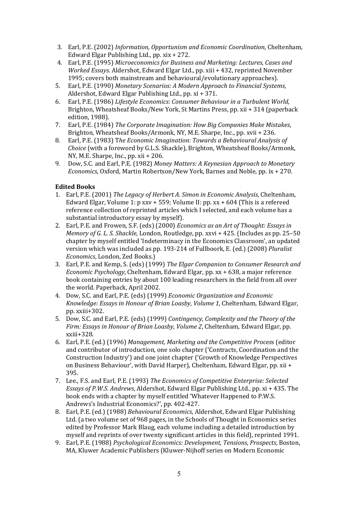- 3. Earl, P.E. (2002) *Information, Opportunism and Economic Coordination*, Cheltenham, Edward Elgar Publishing Ltd., pp. xix + 272.
- 4. Earl, P.E. (1995) *Microeconomics for Business and Marketing: Lectures, Cases and Worked Essays*. Aldershot, Edward Elgar Ltd., pp. xiii + 432, reprinted November 1995; covers both mainstream and behavioural/evolutionary approaches).
- 5. Earl, P.E. (1990) *Monetary Scenarios: A Modern Approach to Financial Systems*, Aldershot, Edward Elgar Publishing Ltd., pp. xi + 371.
- 6. Earl, P.E. (1986) *Lifestyle Economics: Consumer Behaviour in a Turbulent World*, Brighton, Wheatsheaf Books/New York, St Martins Press, pp. xii + 314 (paperback edition, 1988).
- 7. Earl, P.E. (1984) *The Corporate Imagination: How Big Companies Make Mistakes*, Brighton, Wheatsheaf Books/Armonk, NY, M.E. Sharpe, Inc., pp. xvii + 236.
- 8. Earl, P.E. (1983) T*he Economic Imagination: Towards a Behavioural Analysis of Choice* (with a foreword by G.L.S. Shackle), Brighton, Wheatsheaf Books/Armonk, NY, M.E. Sharpe, Inc., pp. xii + 206.
- 9. Dow, S.C. and Earl, P.E. (1982) *Money Matters: A Keynesian Approach to Monetary Economics*, Oxford, Martin Robertson/New York, Barnes and Noble, pp. ix + 270.

# **Edited Books**

- 1. Earl, P.E. (2001) *The Legacy of Herbert A. Simon in Economic Analysis*, Cheltenham, Edward Elgar, Volume 1: p xxv + 559; Volume II: pp. xx + 604 (This is a refereed reference collection of reprinted articles which I selected, and each volume has a substantial introductory essay by myself).
- 2. Earl, P.E. and Frowen, S.F. (eds) (2000) *Economics as an Art of Thought: Essays in Memory of G. L. S. Shackle*, London, Routledge, pp. xxvi + 425. (Includes as pp. 25–50 chapter by myself entitled 'Indeterminacy in the Economics Classroom', an updated version which was included as pp. 193-214 of Fullboork, E. (ed.) (2008) *Pluralist Economics*, London, Zed Books.)
- 3. Earl, P.E. and Kemp, S. (eds) (1999) *The Elgar Companion to Consumer Research and Economic Psychology*, Cheltenham, Edward Elgar, pp. xx + 638, a major reference book containing entries by about 100 leading researchers in the field from all over the world. Paperback, April 2002.
- 4. Dow, S.C. and Earl, P.E. (eds) (1999) *Economic Organization and Economic Knowledge: Essays in Honour of Brian Loasby, Volume 1*, Cheltenham, Edward Elgar, pp. xxiii+302.
- 5. Dow, S.C. and Earl, P.E. (eds) (1999) *Contingency, Complexity and the Theory of the Firm: Essays in Honour of Brian Loasby, Volume 2*, Cheltenham, Edward Elgar, pp. xxiii+328.
- 6. Earl, P.E. (ed.) (1996) *Management, Marketing and the Competitive Proces*s (editor and contributor of introduction, one solo chapter ('Contracts, Coordination and the Construction Industry') and one joint chapter ('Growth of Knowledge Perspectives on Business Behaviour', with David Harper), Cheltenham, Edward Elgar, pp. xii + 395.
- 7. Lee., F.S. and Earl, P.E. (1993) *The Economics of Competitive Enterprise: Selected Essays of P.W.S. Andrews*, Aldershot, Edward Elgar Publishing Ltd., pp. xi + 435. The book ends with a chapter by myself entitled 'Whatever Happened to P.W.S. Andrews's Industrial Economics?', pp. 402-427.
- 8. Earl, P.E. (ed.) (1988) *Behavioural Economics*, Aldershot, Edward Elgar Publishing Ltd. (a two volume set of 968 pages, in the Schools of Thought in Economics series edited by Professor Mark Blaug, each volume including a detailed introduction by myself and reprints of over twenty significant articles in this field), reprinted 1991.
- 9. Earl, P.E. (1988) *Psychological Economics: Development, Tensions, Prospects*, Boston, MA, Kluwer Academic Publishers (Kluwer-Nijhoff series on Modern Economic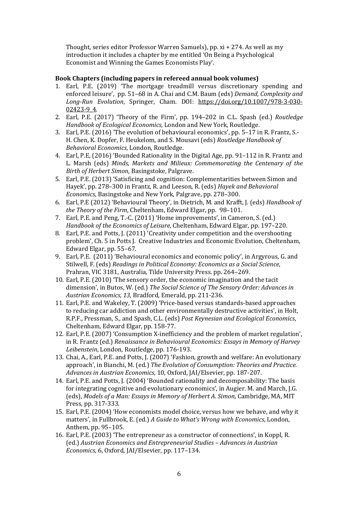Thought, series editor Professor Warren Samuels), pp. xi + 274. As well as my introduction it includes a chapter by me entitled 'On Being a Psychological Economist and Winning the Games Economists Play'.

# **Book Chapters (including papers in refereed annual book volumes)**

- 1. Earl, P.E. (2019) 'The mortgage treadmill versus discretionary spending and enforced leisure', pp. 51–68 in A. Chai and C.M. Baum (eds) *Demand, Complexity and Long-Run Evolution*, Springer, Cham. DOI: [https://doi.org/10.1007/978-3-030-](https://doi.org/10.1007/978-3-030-02423-9_4) [02423-9\\_4.](https://doi.org/10.1007/978-3-030-02423-9_4)
- 2. Earl, P.E. (2017) 'Theory of the Firm', pp. 194–202 in C.L. Spash (ed.) *Routledge Handbook of Ecological Economics*, London and New York, Routledge.
- 3. Earl, P.E. (2016) 'The evolution of behavioural economics', pp. 5–17 in R. Frantz, S.- H. Chen, K. Dopfer, F. Heukelom, and S. Mousavi (eds) *Routledge Handbook of Behavioral Economics*, London, Routledge.
- 4. Earl, P.E, (2016) 'Bounded Rationality in the Digital Age, pp. 91–112 in R. Frantz and L. Marsh (eds) *Minds, Markets and Milieux: Commemorating the Centenary of the Birth of Herbert Simon*, Basingstoke, Palgrave.
- 5. Earl, P.E. (2013) 'Satisficing and cognition: Complementarities between Simon and Hayek', pp. 278–300 in Frantz, R. and Leeson, R. (eds) *Hayek and Behavioral Economics*, Basingstoke and New York, Palgrave, pp. 278–300.
- 6. Earl, P.E (2012) 'Behavioural Theory', in Dietrich, M. and Krafft, J. (eds) *Handbook of the Theory of the Firm*, Cheltenham, Edward Elgar, pp. 98–101.
- 7. Earl, P.E. and Peng, T.-C. (2011) 'Home improvements', in Cameron, S. (ed.) *Handbook of the Economics of Leisure*, Cheltenham, Edward Elgar, pp. 197–220.
- 8. Earl, P.E. and Potts, J. (2011) 'Creativity under competition and the overshooting problem', Ch. 5 in Potts J. Creative Industries and Economic Evolution, Cheltenham, Edward Elgar, pp. 55–67.
- 9. Earl, P.E. (2011) 'Behavioural economics and economic policy', in Argyrous, G. and Stilwell, F. (eds) *Readings in Political Economy: Economics as a Social Science*, Prahran, VIC 3181, Australia, Tilde University Press. pp. 264–269.
- 10. Earl, P.E. (2010) 'The sensory order, the economic imagination and the tacit dimension', in Butos, W. (ed.) *The Social Science of The Sensory Order: Advances in Austrian Economics*, *13*, Bradford, Emerald, pp. 211-236.
- 11. Earl, P.E. and Wakeley, T. (2009) 'Price-based versus standards-based approaches to reducing car addiction and other environmentally destructive activities', in Holt, R.P.F., Pressman, S., and Spash, C.L. (eds) *Post Keynesian and Ecological Economics*, Cheltenham, Edward Elgar, pp. 158-77.
- 12. Earl, P.E. (2007) 'Consumption X-inefficiency and the problem of market regulation', in R. Frantz (ed.) *Renaissance in Behavioural Economics: Essays in Memory of Harvey Leibenstein*, London, Routledge, pp. 176-193.
- 13. Chai, A., Earl, P.E. and Potts, J. (2007) 'Fashion, growth and welfare: An evolutionary approach', in Bianchi, M. (ed.) *The Evolution of Consumption: Theories and Practice. Advances in Austrian Economics*, 10, Oxford, JAI/Elsevier, pp. 187-207.
- 14. Earl, P.E. and Potts, J. (2004) 'Bounded rationality and decomposability: The basis for integrating cognitive and evolutionary economics', in Augier. M. and March, J.G. (eds), *Models of a Man: Essays in Memory of Herbert A. Simon*, Cambridge, MA, MIT Press, pp. 317-333.
- 15. Earl, P.E. (2004) 'How economists model choice, versus how we behave, and why it matters', in Fullbrook, E. (ed.) *A Guide to What's Wrong with Economics*, London, Anthem, pp. 95–105.
- 16. Earl, P.E. (2003) 'The entrepreneur as a constructor of connections', in Koppl, R. (ed.) *Austrian Economics and Entrepreneurial Studies – Advances in Austrian Economics,* 6, Oxford, JAI/Elsevier, pp. 117–134.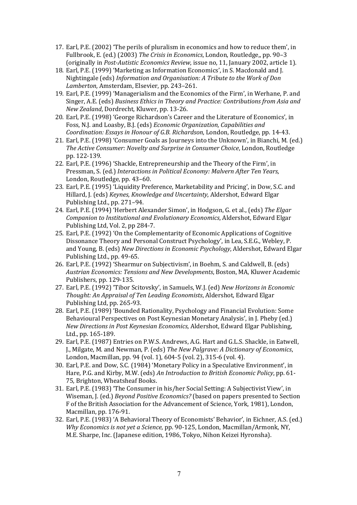- 17. Earl, P.E. (2002) 'The perils of pluralism in economics and how to reduce them', in Fullbrook, E. (ed.) (2003) *The Crisis in Economics*, London, Routledge,, pp. 90–3 (originally in *Post-Autistic Economics Review*, issue no, 11, January 2002, article 1).
- 18. Earl, P.E. (1999) 'Marketing as Information Economics', in S. Macdonald and J. Nightingale (eds) *Information and Organisation: A Tribute to the Work of Don Lamberton*, Amsterdam, Elsevier, pp. 243–261.
- 19. Earl, P.E. (1999) 'Managerialism and the Economics of the Firm', in Werhane, P. and Singer, A.E. (eds) *Business Ethics in Theory and Practice: Contributions from Asia and New Zealand*, Dordrecht, Kluwer, pp. 13-26.
- 20. Earl, P.E. (1998) 'George Richardson's Career and the Literature of Economics', in Foss, N.J. and Loasby, B.J. (eds) *Economic Organization, Capabilities and Coordination: Essays in Honour of G.B. Richardson*, London, Routledge, pp. 14-43.
- 21. Earl, P.E. (1998) 'Consumer Goals as Journeys into the Unknown', in Bianchi, M. (ed.) *The Active Consumer: Novelty and Surprise in Consumer Choice*, London, Routledge pp. 122-139.
- 22. Earl, P.E. (1996) 'Shackle, Entrepreneurship and the Theory of the Firm', in Pressman, S. (ed.) *Interactions in Political Economy: Malvern After Ten Years*, London, Routledge, pp. 43–60.
- 23. Earl, P.E. (1995) 'Liquidity Preference, Marketability and Pricing', in Dow, S.C. and Hillard, J. (eds) *Keynes, Knowledge and Uncertainty*, Aldershot, Edward Elgar Publishing Ltd., pp. 271–94.
- 24. Earl, P.E. (1994) 'Herbert Alexander Simon', in Hodgson, G. et al., (eds) *The Elgar Companion to Institutional and Evolutionary Economics*, Aldershot, Edward Elgar Publishing Ltd, Vol. 2, pp 284-7.
- 25. Earl, P.E. (1992) 'On the Complementarity of Economic Applications of Cognitive Dissonance Theory and Personal Construct Psychology', in Lea, S.E.G., Webley, P. and Young, B. (eds) *New Directions in Economic Psychology*, Aldershot, Edward Elgar Publishing Ltd., pp. 49-65.
- 26. Earl, P.E. (1992) 'Shearmur on Subjectivism', in Boehm, S. and Caldwell, B. (eds) *Austrian Economics: Tensions and New Developments*, Boston, MA, Kluwer Academic Publishers, pp. 129-135.
- 27. Earl, P.E. (1992) 'Tibor Scitovsky', in Samuels, W.J. (ed) *New Horizons in Economic Thought: An Appraisal of Ten Leading Economists*, Aldershot, Edward Elgar Publishing Ltd, pp. 265-93.
- 28. Earl, P.E. (1989) 'Bounded Rationality, Psychology and Financial Evolution: Some Behavioural Perspectives on Post Keynesian Monetary Analysis', in J. Pheby (ed.) *New Directions in Post Keynesian Economics*, Aldershot, Edward Elgar Publishing, Ltd., pp. 165-189.
- 29. Earl, P.E. (1987) Entries on P.W.S. Andrews, A.G. Hart and G.L.S. Shackle, in Eatwell, J., Milgate, M. and Newman, P. (eds) *The New Palgrave: A Dictionary of Economics*, London, Macmillan, pp. 94 (vol. 1), 604-5 (vol. 2), 315-6 (vol. 4).
- 30. Earl, P.E. and Dow, S.C. (1984) 'Monetary Policy in a Speculative Environment', in Hare, P.G. and Kirby, M.W. (eds) *An Introduction to British Economic Policy*, pp. 61- 75, Brighton, Wheatsheaf Books.
- 31. Earl, P.E. (1983) 'The Consumer in his/her Social Setting: A Subjectivist View', in Wiseman, J. (ed.) *Beyond Positive Economics?* (based on papers presented to Section F of the British Association for the Advancement of Science, York, 1981), London, Macmillan, pp. 176-91.
- 32. Earl, P.E. (1983) 'A Behavioral Theory of Economists' Behavior', in Eichner, A.S. (ed.) *Why Economics is not yet a Science*, pp. 90-125, London, Macmillan/Armonk, NY, M.E. Sharpe, Inc. (Japanese edition, 1986, Tokyo, Nihon Keizei Hyronsha).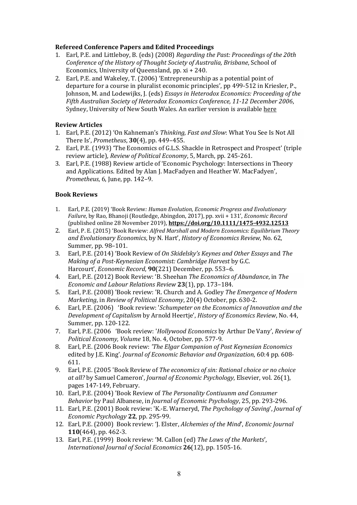# **Refereed Conference Papers and Edited Proceedings**

- 1. Earl, P.E. and Littleboy, B. (eds) (2008) *Regarding the Past: Proceedings of the 20th Conference of the History of Thought Society of Australia, Brisbane*, School of Economics, University of Queensland, pp. xi + 240.
- 2. Earl, P.E. and Wakeley, T. (2006) 'Entrepreneurship as a potential point of departure for a course in pluralist economic principles', pp 499-512 in Kriesler, P., Johnson, M. and Lodewijks, J. (eds) *Essays in Heterodox Economics: Proceeding of the Fifth Australian Society of Heterodox Economics Conference, 11-12 December 2006*, Sydney, University of New South Wales. An earlier version is available [here](http://eprint.uq.edu.au/archive/00002298/)

## **Review Articles**

- 1. Earl, P.E. (2012) 'On Kahneman's *Thinking, Fast and Slow*: What You See Is Not All There Is', *Prometheus*, **30**(4), pp. 449–455.
- 2. Earl, P.E. (1993) 'The Economics of G.L.S. Shackle in Retrospect and Prospect' (triple review article), *Review of Political Economy*, 5, March, pp. 245-261.
- 3. Earl, P.E. (1988) Review article of 'Economic Psychology: Intersections in Theory and Applications. Edited by Alan J. MacFadyen and Heather W. MacFadyen', *Prometheus*, 6, June, pp. 142–9.

## **Book Reviews**

- 1. Earl, P.E. (2019) 'Book Review*: Human Evolution, Economic Progress and Evolutionary Failure*, by Rao, Bhanoji (Routledge, Abingdon, 2017), pp. xvii + 131', *Economic Record*  (published online 28 November 2019), **<https://doi.org/10.1111/1475-4932.12513>**
- 2. Earl, P. E. (2015) 'Book Review: *Alfred Marshall and Modern Economics: Equilibrium Theory and Evolutionary Economics*, by N. Hart', *History of Economics Review*, No. 62, Summer, pp. 98–101.
- 3. Earl, P.E. (2014) 'Book Review of *On Skidelsky's Keynes and Other Essays* and *The Making of a Post-Keynesian Economist: Cambridge Harvest* by G.C. Harcourt', *Economic Record*, **90**(221) December, pp. 553–6.
- 4. Earl, P.E. (2012) Book Review: 'B. Sheehan *The Economics of Abundance*, in *The Economic and Labour Relations Review* **23**(1), pp. 173–184.
- 5. Earl, P.E. (2008) 'Book review: 'R. Church and A. Godley *The Emergence of Modern Marketing*, in *Review of Political Economy*, 20(4) October, pp. 630-2.
- 6. Earl, P.E. (2006) 'Book review: '*Schumpeter on the Economics of Innovation and the Development of Capitalism* by Arnold Heertje', *History of Economics Review*, No. 44, Summer, pp. 120-122.
- 7. Earl, P.E. (2006 'Book review: '*Hollywood Economics* by Arthur De Vany', *Review of Political Economy, Volume* 18, No. 4, October, pp. 577-9.
- 8. Earl, P.E. (2006 Book review: *'The Elgar Companion of Post Keynesian Economics* edited by J.E. King'. *Journal of Economic Behavior and Organization*, 60:4 pp. 608- 611.
- 9. Earl, P.E. (2005 'Book Review of *The economics of sin: Rational choice or no choice at all?* by Samuel Cameron', *Journal of Economic Psychology*, Elsevier, vol. 26(1), pages 147-149, February.
- 10. Earl, P.E. (2004) 'Book Review of *The Personality Contiuunm and Consumer Behavior* by Paul Albanese, in *Journal of Economic Psychology*, 25, pp. 293-296.
- 11. Earl, P.E. (2001) Book review: 'K.-E. Warneryd, *The Psychology of Saving*', *Journal of Economic Psychology* **22**, pp. 295-99.
- 12. Earl, P.E. (2000) Book review: 'J. Elster, *Alchemies of the Mind*', *Economic Journal* **110**(464), pp. 462-3.
- 13. Earl, P.E. (1999) Book review: 'M. Callon (ed) *The Laws of the Markets*', *International Journal of Social Economics* **26**(12), pp. 1505-16.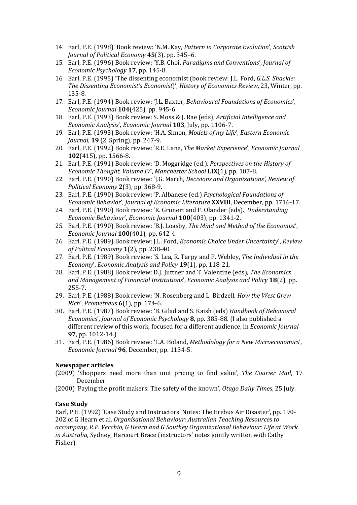- 14. Earl, P.E. (1998) Book review: 'N.M. Kay, *Pattern in Corporate Evolution*', *Scottish Journal of Political Economy* **45**(3), pp. 345–6.
- 15. Earl, P.E. (1996) Book review: 'Y.B. Choi, *Paradigms and Conventions*', *Journal of Economic Psychology* **17**, pp. 145-8.
- 16. Earl, P.E. (1995) 'The dissenting economist (book review: J.L. Ford, *G.L.S. Shackle: The Dissenting Economist's Economist*)', *History of Economics Review*, 23, Winter, pp. 135-8.
- 17. Earl, P.E. (1994) Book review: 'J.L. Baxter, *Behavioural Foundations of Economics*', *Economic Journal* **104**(425), pp. 945-6.
- 18. Earl, P.E. (1993) Book review: S. Moss & J. Rae (eds), *Artificial Intelligence and Economic Analysis*', *Economic Journal* **103**, July, pp. 1106-7.
- 19. Earl, P.E. (1993) Book review: 'H.A. Simon, *Models of my Life*', *Eastern Economic Journal*, **19** (2, Spring), pp. 247-9.
- 20. Earl, P.E. (1992) Book review: 'R.E. Lane, *The Market Experience*', *Economic Journal* **102**(415), pp. 1566-8.
- 21. Earl, P.E. (1991) Book review: 'D. Moggridge (ed.), *Perspectives on the History of Economic Thought, Volume IV*', *Manchester School* **LIX**(1), pp. 107-8.
- 22. Earl, P.E. (1990) Book review: 'J.G. March, *Decisions and Organizations', Review of Political Economy* **2**(3), pp. 368-9.
- 23. Earl, P.E. (1990) Book review: 'P. Albanese (ed.) *Psychological Foundations of Economic Behavior*', *Journal of Economic Literature* **XXVIII**, December, pp. 1716-17.
- 24. Earl, P.E. (1990) Book review: 'K. Grunert and F. Olander (eds)., *Understanding Economic Behaviour*', *Economic Journal* **100**(403), pp. 1341-2.
- 25. Earl, P.E. (1990) Book review: 'B.J. Loasby, *The Mind and Method of the Economist*', *Economic Journal* **100**(401), pp. 642-4.
- 26. Earl, P.E. (1989) Book review: J.L. Ford, *Economic Choice Under Uncertainty*', *Review of Politcal Economy* **1**(2), pp. 238-40
- 27. Earl, P.E. (1989) Book review: 'S. Lea, R. Tarpy and P. Webley, *The Individual in the Economy*', *Economic Analysis and Policy* **19**(1), pp. 118-21.
- 28. Earl, P.E. (1988) Book review: D.J. Juttner and T. Valentine (eds), *The Economics and Management of Financial Institutions*', *Economic Analysis and Policy* **18**(2), pp. 255-7.
- 29. Earl, P.E. (1988) Book review: 'N. Rosenberg and L. Birdzell, *How the West Grew Rich*', *Prometheus* **6**(1), pp. 174-6.
- 30. Earl, P.E. (1987) Book review: 'B. Gilad and S. Kaish (eds) *Handbook of Behavioral Economics*', *Journal of Economic Psychology* **8**, pp. 385-88. (I also published a different review of this work, focused for a different audience, in *Economic Journal* **97**, pp. 1012-14.)
- 31. Earl, P.E. (1986) Book review: 'L.A. Boland, *Methodology for a New Microeconomics*', *Economic Journal* **96**, December, pp. 1134-5.

# **Newspaper articles**

- (2009) 'Shoppers need more than unit pricing to find value', *The Courier Mail*, 17 December.
- (2000) 'Paying the profit makers: The safety of the known', *Otago Daily Times*, 25 July.

# **Case Study**

Earl, P.E. (1992) 'Case Study and Instructors' Notes: The Erebus Air Disaster', pp. 190- 202 of G Hearn et al. *Organisational Behaviour: Australian Teaching Resources to accompany, R.P. Vecchio, G Hearn and G Southey Organizational Behaviour: Life at Work in Australia*, Sydney, Harcourt Brace (instructors' notes jointly written with Cathy Fisher).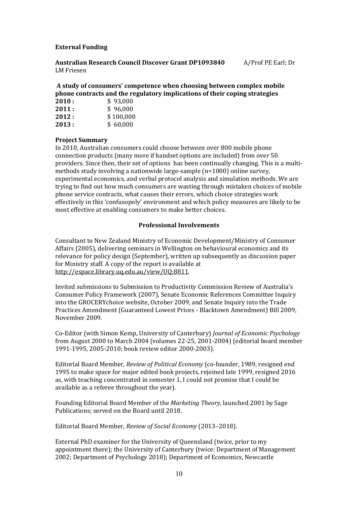## **External Funding**

**Australian Research Council Discover Grant DP1093840** A/Prof PE Earl; Dr LM Friesen

# **A study of consumers' competence when choosing between complex mobile phone contracts and the regulatory implications of their coping strategies**

| \$96,000  |
|-----------|
| \$100,000 |
| \$60,000  |
|           |

## **Project Summary**

In 2010, Australian consumers could choose between over 800 mobile phone connection products (many more if handset options are included) from over 50 providers. Since then, their set of options has been continually changing. This is a multimethods study involving a nationwide large-sample (n=1000) online survey, experimental economics, and verbal protocol analysis and simulation methods. We are trying to find out how much consumers are wasting through mistaken choices of mobile phone service contracts, what causes their errors, which choice strategies work effectively in this 'confusopoly' environment and which policy measures are likely to be most effective at enabling consumers to make better choices.

## **Professional Involvements**

Consultant to New Zealand Ministry of Economic Development/Ministry of Consumer Affairs (2005), delivering seminars in Wellington on behavioural economics and its relevance for policy design (September), written up subsequently as discussion paper for Ministry staff. A copy of the report is available at [http://espace.library.uq.edu.au/view/UQ:8811.](http://espace.library.uq.edu.au/view/UQ:8811)

Invited submissions to Submission to Productivity Commission Review of Australia's Consumer Policy Framework (2007), Senate Economic References Committee Inquiry into the GROCERYchoice website, October 2009, and Senate Inquiry into the Trade Practices Amendment (Guaranteed Lowest Prices - Blacktown Amendment) Bill 2009, November 2009.

Co-Editor (with Simon Kemp, University of Canterbury) *Journal of Economic Psychology*  from August 2000 to March 2004 (volumes 22-25, 2001-2004) (editorial board member 1991-1995, 2005-2010; book review editor 2000-2003).

Editorial Board Member*, Review of Political Economy* (co-founder, 1989, resigned end 1995 to make space for major edited book projects, rejoined late 1999, resigned 2016 as, with teaching concentrated in semester 1, I could not promise that I could be available as a referee throughout the year).

Founding Editorial Board Member of the *Marketing Theory*, launched 2001 by Sage Publications; served on the Board until 2018.

Editorial Board Member, *Review of Social Economy* (2013–2018).

External PhD examiner for the University of Queensland (twice, prior to my appointment there); the University of Canterbury (twice: Department of Management 2002; Department of Psychology 2018); Department of Economics, Newcastle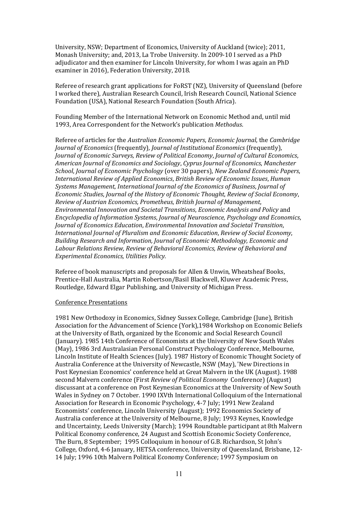University, NSW; Department of Economics, University of Auckland (twice); 2011, Monash University; and, 2013, La Trobe University. In 2009-10 I served as a PhD adjudicator and then examiner for Lincoln University, for whom I was again an PhD examiner in 2016), Federation University, 2018.

Referee of research grant applications for FoRST (NZ), University of Queensland (before I worked there), Australian Research Council, Irish Research Council, National Science Foundation (USA), National Research Foundation (South Africa).

Founding Member of the International Network on Economic Method and, until mid 1993, Area Correspondent for the Network's publication *Methodus*.

Referee of articles for the *Australian Economic Papers*, *Economic Journal*, the *Cambridge Journal of Economics* (frequently)*, Journal of Institutional Economics* (frequently), *Journal of Economic Surveys*, *Review of Political Economy*, *Journal of Cultural Economics*, *American Journal of Economics and Sociology*, *Cyprus Journal of Economics*, *Manchester School*, *Journal of Economic Psychology* (over 30 papers), *New Zealand Economic Papers*, *International Review of Applied Economics*, *British Review of Economic Issues*, *Human Systems Management*, *International Journal of the Economics of Business*, *Journal of Economic Studies*, *Journal of the History of Economic Thought*, *Review of Social Economy*, *Review of Austrian Economics, Prometheus*, *British Journal of Management*, *Environmental Innovation and Societal Transitions*, *Economic Analysis and Policy* and *Encyclopedia of Information Systems*, *Journal of Neuroscience, Psychology and Economics*, *Journal of Economics Education*, *Environmental Innovation and Societal Transition*, *International Journal of Pluralism and Economic Education*, *Review of Social Economy*, *Building Research and Information, Journal of Economic Methodology, Economic and Labour Relations Review, Review of Behavioral Economics, Review of Behavioral and Experimental Economics, Utilities Policy.*

Referee of book manuscripts and proposals for Allen & Unwin, Wheatsheaf Books, Prentice-Hall Australia, Martin Robertson/Basil Blackwell, Kluwer Academic Press, Routledge, Edward Elgar Publishing, and University of Michigan Press.

#### Conference Presentations

1981 New Orthodoxy in Economics, Sidney Sussex College, Cambridge (June), British Association for the Advancement of Science (York),1984 Workshop on Economic Beliefs at the University of Bath, organized by the Economic and Social Research Council (January). 1985 14th Conference of Economists at the University of New South Wales (May), 1986 3rd Australasian Personal Construct Psychology Conference, Melbourne, Lincoln Institute of Health Sciences (July). 1987 History of Economic Thought Society of Australia Conference at the University of Newcastle, NSW (May), 'New Directions in Post Keynesian Economics' conference held at Great Malvern in the UK (August). 1988 second Malvern conference (First *Review of Political Economy* Conference) (August) discussant at a conference on Post Keynesian Economics at the University of New South Wales in Sydney on 7 October. 1990 IXVth International Colloquium of the International Association for Research in Economic Psychology, 4-7 July; 1991 New Zealand Economists' conference, Lincoln University (August); 1992 Economics Society of Australia conference at the University of Melbourne, 8 July; 1993 Keynes, Knowledge and Uncertainty, Leeds University (March); 1994 Roundtable participant at 8th Malvern Political Economy conference, 24 August and Scottish Economic Society Conference, The Burn, 8 September; 1995 Colloquium in honour of G.B. Richardson, St John's College, Oxford, 4-6 January, HETSA conference, University of Queensland, Brisbane, 12- 14 July; 1996 10th Malvern Political Economy Conference; 1997 Symposium on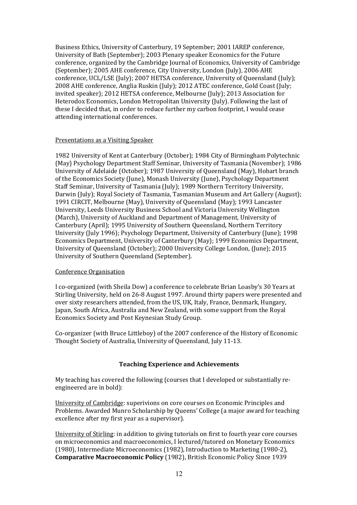Business Ethics, University of Canterbury, 19 September; 2001 IAREP conference, University of Bath (September); 2003 Plenary speaker Economics for the Future conference, organized by the Cambridge Journal of Economics, University of Cambridge (September); 2005 AHE conference, City University, London (July), 2006 AHE conference, UCL/LSE (July); 2007 HETSA conference, University of Queensland (July); 2008 AHE conference, Anglia Ruskin (July); 2012 ATEC conference, Gold Coast (July; invited speaker); 2012 HETSA conference, Melbourne (July); 2013 Association for Heterodox Economics, London Metropolitan University (July). Following the last of these I decided that, in order to reduce further my carbon footprint, I would cease attending international conferences.

#### Presentations as a Visiting Speaker

1982 University of Kent at Canterbury (October); 1984 City of Birmingham Polytechnic (May) Psychology Department Staff Seminar, University of Tasmania (November); 1986 University of Adelaide (October); 1987 University of Queensland (May), Hobart branch of the Economics Society (June), Monash University (June), Psychology Department Staff Seminar, University of Tasmania (July); 1989 Northern Territory University, Darwin (July); Royal Society of Tasmania, Tasmanian Museum and Art Gallery (August); 1991 CIRCIT, Melbourne (May), University of Queensland (May); 1993 Lancaster University, Leeds University Business School and Victoria University Wellington (March), University of Auckland and Department of Management, University of Canterbury (April); 1995 University of Southern Queensland, Northern Territory University (July 1996); Psychology Department, University of Canterbury (June); 1998 Economics Department, University of Canterbury (May); 1999 Economics Department, University of Queensland (October); 2000 University College London, (June); 2015 University of Southern Queensland (September).

#### Conference Organisation

I co-organized (with Sheila Dow) a conference to celebrate Brian Loasby's 30 Years at Stirling University, held on 26-8 August 1997. Around thirty papers were presented and over sixty researchers attended, from the US, UK, Italy, France, Denmark, Hungary, Japan, South Africa, Australia and New Zealand, with some support from the Royal Economics Society and Post Keynesian Study Group.

Co-organizer (with Bruce Littleboy) of the 2007 conference of the History of Economic Thought Society of Australia, University of Queensland, July 11-13.

# **Teaching Experience and Achievements**

My teaching has covered the following (courses that I developed or substantially reengineered are in bold):

University of Cambridge: superivions on core courses on Economic Principles and Problems. Awarded Munro Scholarship by Queens' College (a major award for teaching excellence after my first year as a supervisor).

University of Stirling: in addition to giving tutorials on first to fourth year core courses on microeconomics and macroeconomics, I lectured/tutored on Monetary Economics (1980), Intermediate Microeconomics (1982), Introduction to Marketing (1980-2), **Comparative Macroeconomic Policy** (1982), British Economic Policy Since 1939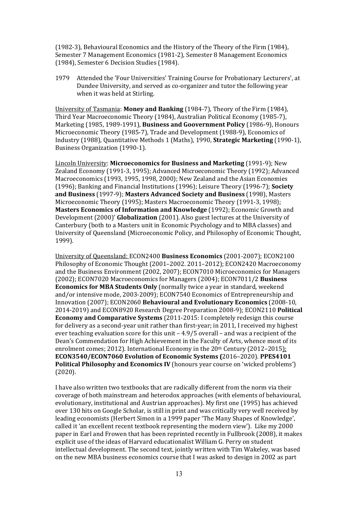(1982-3), Behavioural Economics and the History of the Theory of the Firm (1984), Semester 7 Management Economics (1981-2), Semester 8 Management Economics (1984), Semester 6 Decision Studies (1984).

1979 Attended the 'Four Universities' Training Course for Probationary Lecturers', at Dundee University, and served as co-organizer and tutor the following year when it was held at Stirling.

University of Tasmania: **Money and Banking** (1984-7), Theory of the Firm (1984), Third Year Macroeconomic Theory (1984), Australian Political Economy (1985-7), Marketing (1985, 1989-1991), **Business and Goovernment Policy** (1986-9), Honours Microeconomic Theory (1985-7), Trade and Development (1988-9), Economics of Industry (1988), Quantitative Methods 1 (Maths), 1990, **Strategic Marketing** (1990-1), Business Organization (1990-1).

Lincoln University: **Microeconomics for Business and Marketing** (1991-9); New Zealand Economy (1991-3, 1995); Advanced Microeconomic Theory (1992); Advanced Macroeconomics (1993, 1995, 1998, 2000); New Zealand and the Asian Economies (1996); Banking and Financial Institutions (1996); Leisure Theory (1996-7); **Society and Business** (1997-9); **Masters Advanced Society and Business** (1998), Masters Microeconomic Theory (1995); Masters Macroeconomic Theory (1991-3, 1998); **Masters Economics of Information and Knowledge** (1992); Economic Growth and Development (2000)' **Globalization** (2001). Also guest lectures at the University of Canterbury (both to a Masters unit in Economic Psychology and to MBA classes) and University of Queensland (Microeconomic Policy, and Philosophy of Economic Thought, 1999).

University of Queensland: ECON2400 **Business Economics** (2001-2007); ECON2100 Philosophy of Economic Thought (2001–2002. 2011–2012); ECON2420 Macroeconomy and the Business Environment (2002, 2007); ECON7010 Microeconomics for Managers (2002); ECON7020 Macroeconomics for Managers (2004); ECON7011/2 **Business Economics for MBA Students Only** (normally twice a year in standard, weekend and/or intensive mode, 2003-2009); ECON7540 Economics of Entrepreneurship and Innovation (2007); ECON2060 **Behavioural and Evolutionary Economics** (2008-10, 2014-2019) and ECON8920 Research Degree Preparation 2008-9); ECON2110 **Political Economy and Comparative Systems** (2011-2015: I completely redesign this course for delivery as a second-year unit rather than first-year; in 2011, I received my highest ever teaching evaluation score for this unit – 4.9/5 overall – and was a recipient of the Dean's Commendation for High Achievement in the Faculty of Arts, whence most of its enrolment comes; 2012). International Economy in the 20th Century (2012–2015); **ECON3540/ECON7060 Evolution of Economic Systems (**2016–2020). **PPES4101 Political Philosophy and Economics IV** (honours year course on 'wicked problems') (2020).

I have also written two textbooks that are radically different from the norm via their coverage of both mainstream and heterodox approaches (with elements of behavioural, evolutionary, institutional and Austrian approaches). My first one (1995) has achieved over 130 hits on Google Scholar, is still in print and was critically very well received by leading economists (Herbert Simon in a 1999 paper 'The Many Shapes of Knowledge', called it 'an excellent recent textbook representing the modern view'). Like my 2000 paper in Earl and Frowen that has been reprinted recently in Fullbrook (2008), it makes explicit use of the ideas of Harvard educationalist William G. Perry on student intellectual development. The second text, jointly written with Tim Wakeley, was based on the new MBA business economics course that I was asked to design in 2002 as part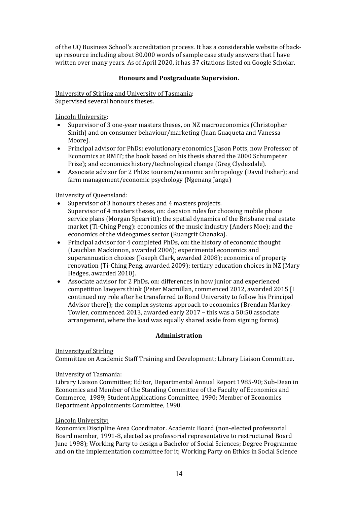of the UQ Business School's accreditation process. It has a considerable website of backup resource including about 80.000 words of sample case study answers that I have written over many years. As of April 2020, it has 37 citations listed on Google Scholar.

# **Honours and Postgraduate Supervision.**

University of Stirling and University of Tasmania: Supervised several honours theses.

Lincoln University:

- Supervisor of 3 one-year masters theses, on NZ macroeconomics (Christopher Smith) and on consumer behaviour/marketing (Juan Guaqueta and Vanessa Moore).
- Principal advisor for PhDs: evolutionary economics (Jason Potts, now Professor of Economics at RMIT; the book based on his thesis shared the 2000 Schumpeter Prize); and economics history/technological change (Greg Clydesdale).
- Associate advisor for 2 PhDs: tourism/economic anthropology (David Fisher); and farm management/economic psychology (Ngenang Jangu)

University of Queensland:

- Supervisor of 3 honours theses and 4 masters projects. Supervisor of 4 masters theses, on: decision rules for choosing mobile phone service plans (Morgan Spearritt): the spatial dynamics of the Brisbane real estate market (Ti-Ching Peng): economics of the music industry (Anders Moe); and the economics of the videogames sector (Ruangrit Chanaka).
- Principal advisor for 4 completed PhDs, on: the history of economic thought (Lauchlan Mackinnon, awarded 2006); experimental economics and superannuation choices (Joseph Clark, awarded 2008); economics of property renovation (Ti-Ching Peng, awarded 2009); tertiary education choices in NZ (Mary Hedges, awarded 2010).
- Associate advisor for 2 PhDs, on: differences in how junior and experienced competition lawyers think (Peter Macmillan, commenced 2012, awarded 2015 [I continued my role after he transferred to Bond University to follow his Principal Advisor there]); the complex systems approach to economics (Brendan Markey-Towler, commenced 2013, awarded early 2017 – this was a 50:50 associate arrangement, where the load was equally shared aside from signing forms).

# **Administration**

# University of Stirling

Committee on Academic Staff Training and Development; Library Liaison Committee.

# University of Tasmania:

Library Liaison Committee; Editor, Departmental Annual Report 1985-90; Sub-Dean in Economics and Member of the Standing Committee of the Faculty of Economics and Commerce, 1989; Student Applications Committee, 1990; Member of Economics Department Appointments Committee, 1990.

# Lincoln University:

Economics Discipline Area Coordinator. Academic Board (non-elected professorial Board member, 1991-8, elected as professorial representative to restructured Board June 1998); Working Party to design a Bachelor of Social Sciences; Degree Programme and on the implementation committee for it; Working Party on Ethics in Social Science